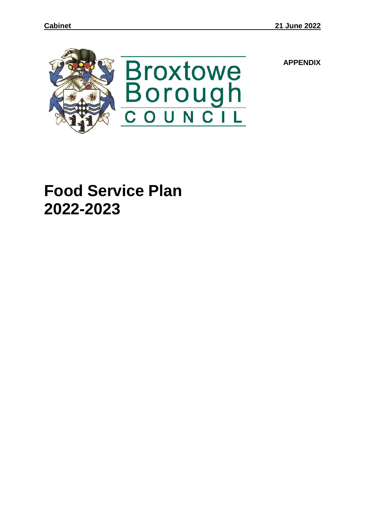

**APPENDIX**

**Food Service Plan 2022-2023**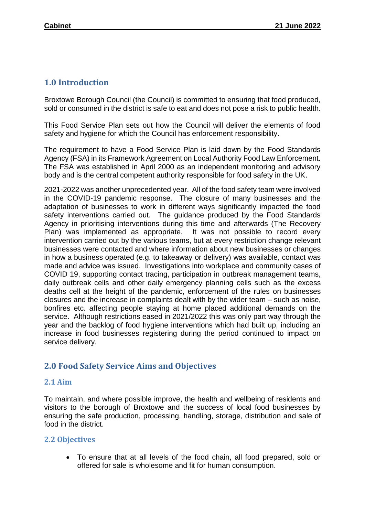## **1.0 Introduction**

Broxtowe Borough Council (the Council) is committed to ensuring that food produced, sold or consumed in the district is safe to eat and does not pose a risk to public health.

This Food Service Plan sets out how the Council will deliver the elements of food safety and hygiene for which the Council has enforcement responsibility.

The requirement to have a Food Service Plan is laid down by the Food Standards Agency (FSA) in its Framework Agreement on Local Authority Food Law Enforcement. The FSA was established in April 2000 as an independent monitoring and advisory body and is the central competent authority responsible for food safety in the UK.

2021-2022 was another unprecedented year. All of the food safety team were involved in the COVID-19 pandemic response. The closure of many businesses and the adaptation of businesses to work in different ways significantly impacted the food safety interventions carried out. The guidance produced by the Food Standards Agency in prioritising interventions during this time and afterwards (The Recovery Plan) was implemented as appropriate. It was not possible to record every intervention carried out by the various teams, but at every restriction change relevant businesses were contacted and where information about new businesses or changes in how a business operated (e.g. to takeaway or delivery) was available, contact was made and advice was issued. Investigations into workplace and community cases of COVID 19, supporting contact tracing, participation in outbreak management teams, daily outbreak cells and other daily emergency planning cells such as the excess deaths cell at the height of the pandemic, enforcement of the rules on businesses closures and the increase in complaints dealt with by the wider team – such as noise, bonfires etc. affecting people staying at home placed additional demands on the service. Although restrictions eased in 2021/2022 this was only part way through the year and the backlog of food hygiene interventions which had built up, including an increase in food businesses registering during the period continued to impact on service delivery.

## **2.0 Food Safety Service Aims and Objectives**

## **2.1 Aim**

To maintain, and where possible improve, the health and wellbeing of residents and visitors to the borough of Broxtowe and the success of local food businesses by ensuring the safe production, processing, handling, storage, distribution and sale of food in the district.

## **2.2 Objectives**

 To ensure that at all levels of the food chain, all food prepared, sold or offered for sale is wholesome and fit for human consumption.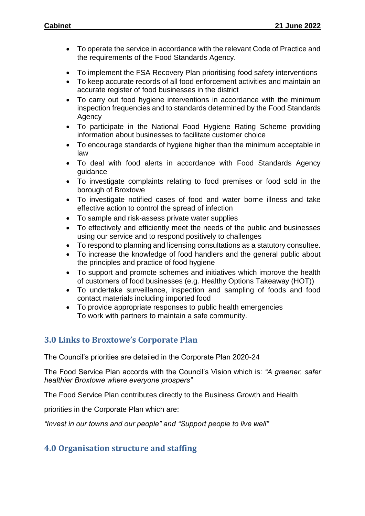- To operate the service in accordance with the relevant Code of Practice and the requirements of the Food Standards Agency.
- To implement the FSA Recovery Plan prioritising food safety interventions
- To keep accurate records of all food enforcement activities and maintain an accurate register of food businesses in the district
- To carry out food hygiene interventions in accordance with the minimum inspection frequencies and to standards determined by the Food Standards Agency
- To participate in the National Food Hygiene Rating Scheme providing information about businesses to facilitate customer choice
- To encourage standards of hygiene higher than the minimum acceptable in law
- To deal with food alerts in accordance with Food Standards Agency guidance
- To investigate complaints relating to food premises or food sold in the borough of Broxtowe
- To investigate notified cases of food and water borne illness and take effective action to control the spread of infection
- To sample and risk-assess private water supplies
- To effectively and efficiently meet the needs of the public and businesses using our service and to respond positively to challenges
- To respond to planning and licensing consultations as a statutory consultee.
- To increase the knowledge of food handlers and the general public about the principles and practice of food hygiene
- To support and promote schemes and initiatives which improve the health of customers of food businesses (e.g. Healthy Options Takeaway (HOT))
- To undertake surveillance, inspection and sampling of foods and food contact materials including imported food
- To provide appropriate responses to public health emergencies To work with partners to maintain a safe community.

## **3.0 Links to Broxtowe's Corporate Plan**

The Council's priorities are detailed in the Corporate Plan 2020-24

The Food Service Plan accords with the Council's Vision which is: *"A greener, safer healthier Broxtowe where everyone prospers"*

The Food Service Plan contributes directly to the Business Growth and Health

priorities in the Corporate Plan which are:

*"Invest in our towns and our people" and "Support people to live well"*

# **4.0 Organisation structure and staffing**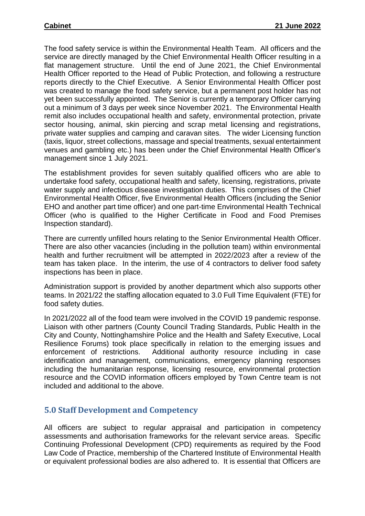The food safety service is within the Environmental Health Team. All officers and the service are directly managed by the Chief Environmental Health Officer resulting in a flat management structure. Until the end of June 2021, the Chief Environmental Health Officer reported to the Head of Public Protection, and following a restructure reports directly to the Chief Executive. A Senior Environmental Health Officer post was created to manage the food safety service, but a permanent post holder has not yet been successfully appointed. The Senior is currently a temporary Officer carrying out a minimum of 3 days per week since November 2021. The Environmental Health remit also includes occupational health and safety, environmental protection, private sector housing, animal, skin piercing and scrap metal licensing and registrations, private water supplies and camping and caravan sites. The wider Licensing function (taxis, liquor, street collections, massage and special treatments, sexual entertainment venues and gambling etc.) has been under the Chief Environmental Health Officer's management since 1 July 2021.

The establishment provides for seven suitably qualified officers who are able to undertake food safety, occupational health and safety, licensing, registrations, private water supply and infectious disease investigation duties. This comprises of the Chief Environmental Health Officer, five Environmental Health Officers (including the Senior EHO and another part time officer) and one part-time Environmental Health Technical Officer (who is qualified to the Higher Certificate in Food and Food Premises Inspection standard).

There are currently unfilled hours relating to the Senior Environmental Health Officer. There are also other vacancies (including in the pollution team) within environmental health and further recruitment will be attempted in 2022/2023 after a review of the team has taken place. In the interim, the use of 4 contractors to deliver food safety inspections has been in place.

Administration support is provided by another department which also supports other teams. In 2021/22 the staffing allocation equated to 3.0 Full Time Equivalent (FTE) for food safety duties.

In 2021/2022 all of the food team were involved in the COVID 19 pandemic response. Liaison with other partners (County Council Trading Standards, Public Health in the City and County, Nottinghamshire Police and the Health and Safety Executive, Local Resilience Forums) took place specifically in relation to the emerging issues and enforcement of restrictions. Additional authority resource including in case identification and management, communications, emergency planning responses including the humanitarian response, licensing resource, environmental protection resource and the COVID information officers employed by Town Centre team is not included and additional to the above.

## **5.0 Staff Development and Competency**

All officers are subject to regular appraisal and participation in competency assessments and authorisation frameworks for the relevant service areas. Specific Continuing Professional Development (CPD) requirements as required by the Food Law Code of Practice, membership of the Chartered Institute of Environmental Health or equivalent professional bodies are also adhered to. It is essential that Officers are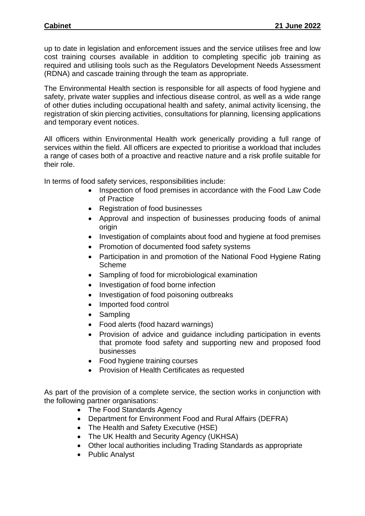up to date in legislation and enforcement issues and the service utilises free and low cost training courses available in addition to completing specific job training as required and utilising tools such as the Regulators Development Needs Assessment (RDNA) and cascade training through the team as appropriate.

The Environmental Health section is responsible for all aspects of food hygiene and safety, private water supplies and infectious disease control, as well as a wide range of other duties including occupational health and safety, animal activity licensing, the registration of skin piercing activities, consultations for planning, licensing applications and temporary event notices.

All officers within Environmental Health work generically providing a full range of services within the field. All officers are expected to prioritise a workload that includes a range of cases both of a proactive and reactive nature and a risk profile suitable for their role.

In terms of food safety services, responsibilities include:

- Inspection of food premises in accordance with the Food Law Code of Practice
- Registration of food businesses
- Approval and inspection of businesses producing foods of animal origin
- Investigation of complaints about food and hygiene at food premises
- Promotion of documented food safety systems
- Participation in and promotion of the National Food Hygiene Rating Scheme
- Sampling of food for microbiological examination
- Investigation of food borne infection
- Investigation of food poisoning outbreaks
- Imported food control
- Sampling
- Food alerts (food hazard warnings)
- Provision of advice and guidance including participation in events that promote food safety and supporting new and proposed food businesses
- Food hygiene training courses
- Provision of Health Certificates as requested

As part of the provision of a complete service, the section works in conjunction with the following partner organisations:

- The Food Standards Agency
- Department for Environment Food and Rural Affairs (DEFRA)
- The Health and Safety Executive (HSE)
- The UK Health and Security Agency (UKHSA)
- Other local authorities including Trading Standards as appropriate
- Public Analyst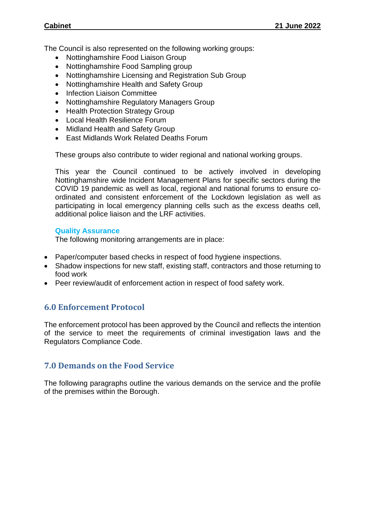The Council is also represented on the following working groups:

- Nottinghamshire Food Liaison Group
- Nottinghamshire Food Sampling group
- Nottinghamshire Licensing and Registration Sub Group
- Nottinghamshire Health and Safety Group
- Infection Liaison Committee
- Nottinghamshire Regulatory Managers Group
- Health Protection Strategy Group
- Local Health Resilience Forum
- Midland Health and Safety Group
- East Midlands Work Related Deaths Forum

These groups also contribute to wider regional and national working groups.

This year the Council continued to be actively involved in developing Nottinghamshire wide Incident Management Plans for specific sectors during the COVID 19 pandemic as well as local, regional and national forums to ensure coordinated and consistent enforcement of the Lockdown legislation as well as participating in local emergency planning cells such as the excess deaths cell, additional police liaison and the LRF activities.

#### **Quality Assurance**

The following monitoring arrangements are in place:

- Paper/computer based checks in respect of food hygiene inspections.
- Shadow inspections for new staff, existing staff, contractors and those returning to food work
- Peer review/audit of enforcement action in respect of food safety work.

## **6.0 Enforcement Protocol**

The enforcement protocol has been approved by the Council and reflects the intention of the service to meet the requirements of criminal investigation laws and the Regulators Compliance Code.

## **7.0 Demands on the Food Service**

The following paragraphs outline the various demands on the service and the profile of the premises within the Borough.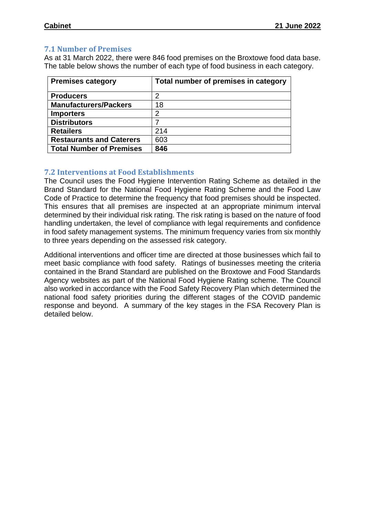### **7.1 Number of Premises**

As at 31 March 2022, there were 846 food premises on the Broxtowe food data base. The table below shows the number of each type of food business in each category.

| <b>Premises category</b>        | Total number of premises in category |
|---------------------------------|--------------------------------------|
| <b>Producers</b>                |                                      |
| <b>Manufacturers/Packers</b>    | 18                                   |
| <b>Importers</b>                | 2                                    |
| <b>Distributors</b>             |                                      |
| <b>Retailers</b>                | 214                                  |
| <b>Restaurants and Caterers</b> | 603                                  |
| <b>Total Number of Premises</b> | 846                                  |

### **7.2 Interventions at Food Establishments**

The Council uses the Food Hygiene Intervention Rating Scheme as detailed in the Brand Standard for the National Food Hygiene Rating Scheme and the Food Law Code of Practice to determine the frequency that food premises should be inspected. This ensures that all premises are inspected at an appropriate minimum interval determined by their individual risk rating. The risk rating is based on the nature of food handling undertaken, the level of compliance with legal requirements and confidence in food safety management systems. The minimum frequency varies from six monthly to three years depending on the assessed risk category.

Additional interventions and officer time are directed at those businesses which fail to meet basic compliance with food safety. Ratings of businesses meeting the criteria contained in the Brand Standard are published on the Broxtowe and Food Standards Agency websites as part of the National Food Hygiene Rating scheme. The Council also worked in accordance with the Food Safety Recovery Plan which determined the national food safety priorities during the different stages of the COVID pandemic response and beyond. A summary of the key stages in the FSA Recovery Plan is detailed below.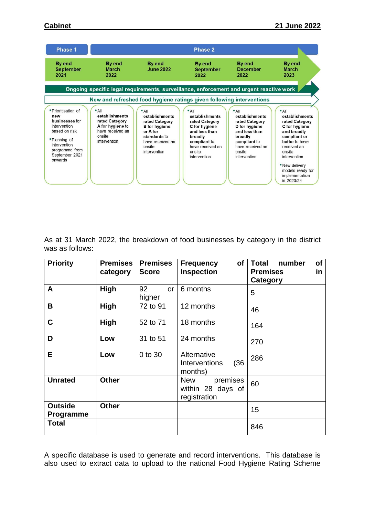

As at 31 March 2022, the breakdown of food businesses by category in the district was as follows:

| <b>Priority</b>                    | <b>Premises</b><br>category | <b>Premises</b><br><b>Score</b> | of<br><b>Frequency</b><br><b>Inspection</b>          | <b>of</b><br><b>Total</b><br>number<br><b>Premises</b><br>in.<br>Category |
|------------------------------------|-----------------------------|---------------------------------|------------------------------------------------------|---------------------------------------------------------------------------|
| A                                  | <b>High</b>                 | 92<br>or<br>higher              | 6 months                                             | 5                                                                         |
| B                                  | High                        | 72 to 91                        | 12 months                                            | 46                                                                        |
| C                                  | High                        | 52 to 71                        | 18 months                                            | 164                                                                       |
| D                                  | Low                         | 31 to 51                        | 24 months                                            | 270                                                                       |
| E                                  | Low                         | 0 to 30                         | Alternative<br>(36)<br>Interventions<br>months)      | 286                                                                       |
| <b>Unrated</b>                     | <b>Other</b>                |                                 | premises<br>New<br>within 28 days of<br>registration | 60                                                                        |
| <b>Outside</b><br><b>Programme</b> | <b>Other</b>                |                                 |                                                      | 15                                                                        |
| <b>Total</b>                       |                             |                                 |                                                      | 846                                                                       |

A specific database is used to generate and record interventions. This database is also used to extract data to upload to the national Food Hygiene Rating Scheme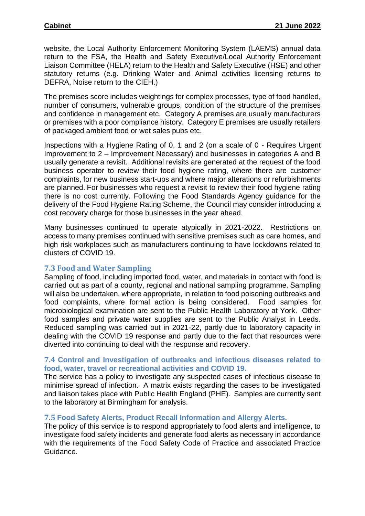website, the Local Authority Enforcement Monitoring System (LAEMS) annual data return to the FSA, the Health and Safety Executive/Local Authority Enforcement Liaison Committee (HELA) return to the Health and Safety Executive (HSE) and other statutory returns (e.g. Drinking Water and Animal activities licensing returns to DEFRA, Noise return to the CIEH.)

The premises score includes weightings for complex processes, type of food handled, number of consumers, vulnerable groups, condition of the structure of the premises and confidence in management etc. Category A premises are usually manufacturers or premises with a poor compliance history. Category E premises are usually retailers of packaged ambient food or wet sales pubs etc.

Inspections with a Hygiene Rating of 0, 1 and 2 (on a scale of 0 - Requires Urgent Improvement to 2 – Improvement Necessary) and businesses in categories A and B usually generate a revisit. Additional revisits are generated at the request of the food business operator to review their food hygiene rating, where there are customer complaints, for new business start-ups and where major alterations or refurbishments are planned. For businesses who request a revisit to review their food hygiene rating there is no cost currently. Following the Food Standards Agency guidance for the delivery of the Food Hygiene Rating Scheme, the Council may consider introducing a cost recovery charge for those businesses in the year ahead.

Many businesses continued to operate atypically in 2021-2022. Restrictions on access to many premises continued with sensitive premises such as care homes, and high risk workplaces such as manufacturers continuing to have lockdowns related to clusters of COVID 19.

## **7.3 Food and Water Sampling**

Sampling of food, including imported food, water, and materials in contact with food is carried out as part of a county, regional and national sampling programme. Sampling will also be undertaken, where appropriate, in relation to food poisoning outbreaks and food complaints, where formal action is being considered. Food samples for microbiological examination are sent to the Public Health Laboratory at York. Other food samples and private water supplies are sent to the Public Analyst in Leeds. Reduced sampling was carried out in 2021-22, partly due to laboratory capacity in dealing with the COVID 19 response and partly due to the fact that resources were diverted into continuing to deal with the response and recovery.

#### **7.4 Control and Investigation of outbreaks and infectious diseases related to food, water, travel or recreational activities and COVID 19.**

The service has a policy to investigate any suspected cases of infectious disease to minimise spread of infection. A matrix exists regarding the cases to be investigated and liaison takes place with Public Health England (PHE). Samples are currently sent to the laboratory at Birmingham for analysis.

#### **7.5 Food Safety Alerts, Product Recall Information and Allergy Alerts.**

The policy of this service is to respond appropriately to food alerts and intelligence, to investigate food safety incidents and generate food alerts as necessary in accordance with the requirements of the Food Safety Code of Practice and associated Practice Guidance.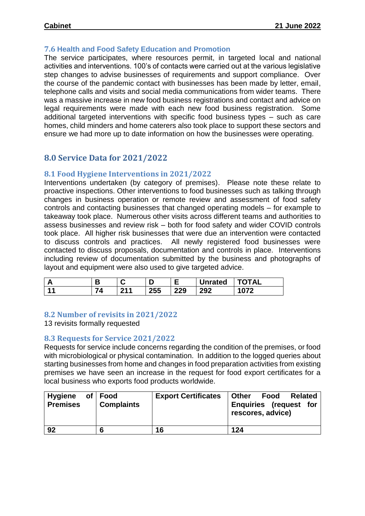#### **7.6 Health and Food Safety Education and Promotion**

The service participates, where resources permit, in targeted local and national activities and interventions. 100's of contacts were carried out at the various legislative step changes to advise businesses of requirements and support compliance. Over the course of the pandemic contact with businesses has been made by letter, email, telephone calls and visits and social media communications from wider teams. There was a massive increase in new food business registrations and contact and advice on legal requirements were made with each new food business registration. Some additional targeted interventions with specific food business types – such as care homes, child minders and home caterers also took place to support these sectors and ensure we had more up to date information on how the businesses were operating.

# **8.0 Service Data for 2021/2022**

## **8.1 Food Hygiene Interventions in 2021/2022**

Interventions undertaken (by category of premises). Please note these relate to proactive inspections. Other interventions to food businesses such as talking through changes in business operation or remote review and assessment of food safety controls and contacting businesses that changed operating models – for example to takeaway took place. Numerous other visits across different teams and authorities to assess businesses and review risk – both for food safety and wider COVID controls took place. All higher risk businesses that were due an intervention were contacted to discuss controls and practices. All newly registered food businesses were contacted to discuss proposals, documentation and controls in place. Interventions including review of documentation submitted by the business and photographs of layout and equipment were also used to give targeted advice.

| л<br>г. | Ð | -<br>◡     |                   |     | <b>Unrated</b> | ነTAL |
|---------|---|------------|-------------------|-----|----------------|------|
| 44      |   | <b>044</b> | <b>OEE</b><br>∠ວວ | 229 | 292            | $-$  |

#### **8.2 Number of revisits in 2021/2022**

13 revisits formally requested

#### **8.3 Requests for Service 2021/2022**

Requests for service include concerns regarding the condition of the premises, or food with microbiological or physical contamination. In addition to the logged queries about starting businesses from home and changes in food preparation activities from existing premises we have seen an increase in the request for food export certificates for a local business who exports food products worldwide.

| <b>Hygiene</b><br>of<br><b>Premises</b> | ∣ Food<br><b>Complaints</b> | <b>Export Certificates</b> | <b>Other</b><br>Food<br><b>Related</b><br>Enquiries (request for<br>rescores, advice) |
|-----------------------------------------|-----------------------------|----------------------------|---------------------------------------------------------------------------------------|
| 92                                      |                             | 16                         | 124                                                                                   |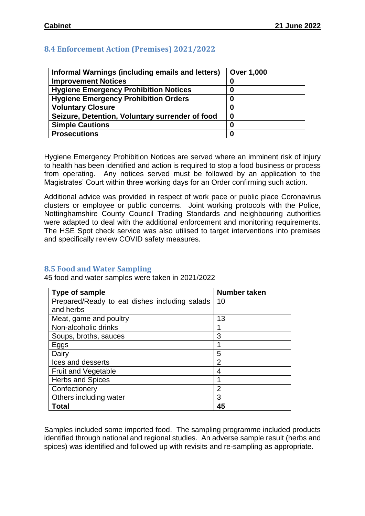## **8.4 Enforcement Action (Premises) 2021/2022**

| Informal Warnings (including emails and letters) | <b>Over 1,000</b> |
|--------------------------------------------------|-------------------|
| <b>Improvement Notices</b>                       | O                 |
| <b>Hygiene Emergency Prohibition Notices</b>     |                   |
| <b>Hygiene Emergency Prohibition Orders</b>      |                   |
| <b>Voluntary Closure</b>                         | 0                 |
| Seizure, Detention, Voluntary surrender of food  |                   |
| <b>Simple Cautions</b>                           | 0                 |
| <b>Prosecutions</b>                              |                   |

Hygiene Emergency Prohibition Notices are served where an imminent risk of injury to health has been identified and action is required to stop a food business or process from operating. Any notices served must be followed by an application to the Magistrates' Court within three working days for an Order confirming such action.

Additional advice was provided in respect of work pace or public place Coronavirus clusters or employee or public concerns. Joint working protocols with the Police, Nottinghamshire County Council Trading Standards and neighbouring authorities were adapted to deal with the additional enforcement and monitoring requirements. The HSE Spot check service was also utilised to target interventions into premises and specifically review COVID safety measures.

#### **8.5 Food and Water Sampling**

45 food and water samples were taken in 2021/2022

| Type of sample                                | Number taken   |
|-----------------------------------------------|----------------|
| Prepared/Ready to eat dishes including salads | 10             |
| and herbs                                     |                |
| Meat, game and poultry                        | 13             |
| Non-alcoholic drinks                          |                |
| Soups, broths, sauces                         | 3              |
| Eggs                                          |                |
| Dairy                                         | 5              |
| Ices and desserts                             | $\overline{2}$ |
| <b>Fruit and Vegetable</b>                    | 4              |
| <b>Herbs and Spices</b>                       |                |
| Confectionery                                 | $\overline{2}$ |
| Others including water                        | 3              |
| Total                                         | 45             |

Samples included some imported food. The sampling programme included products identified through national and regional studies. An adverse sample result (herbs and spices) was identified and followed up with revisits and re-sampling as appropriate.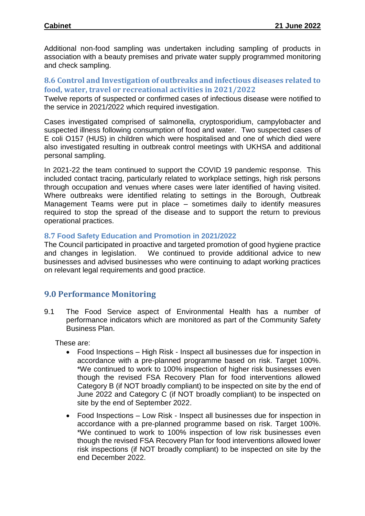Additional non-food sampling was undertaken including sampling of products in association with a beauty premises and private water supply programmed monitoring and check sampling.

## **8.6 Control and Investigation of outbreaks and infectious diseases related to food, water, travel or recreational activities in 2021/2022**

Twelve reports of suspected or confirmed cases of infectious disease were notified to the service in 2021/2022 which required investigation.

Cases investigated comprised of salmonella, cryptosporidium, campylobacter and suspected illness following consumption of food and water. Two suspected cases of E coli O157 (HUS) in children which were hospitalised and one of which died were also investigated resulting in outbreak control meetings with UKHSA and additional personal sampling.

In 2021-22 the team continued to support the COVID 19 pandemic response. This included contact tracing, particularly related to workplace settings, high risk persons through occupation and venues where cases were later identified of having visited. Where outbreaks were identified relating to settings in the Borough, Outbreak Management Teams were put in place – sometimes daily to identify measures required to stop the spread of the disease and to support the return to previous operational practices.

### **8.7 Food Safety Education and Promotion in 2021/2022**

The Council participated in proactive and targeted promotion of good hygiene practice and changes in legislation. We continued to provide additional advice to new businesses and advised businesses who were continuing to adapt working practices on relevant legal requirements and good practice.

## **9.0 Performance Monitoring**

9.1 The Food Service aspect of Environmental Health has a number of performance indicators which are monitored as part of the Community Safety Business Plan.

These are:

- Food Inspections High Risk Inspect all businesses due for inspection in accordance with a pre-planned programme based on risk. Target 100%. \*We continued to work to 100% inspection of higher risk businesses even though the revised FSA Recovery Plan for food interventions allowed Category B (if NOT broadly compliant) to be inspected on site by the end of June 2022 and Category C (if NOT broadly compliant) to be inspected on site by the end of September 2022.
- Food Inspections Low Risk Inspect all businesses due for inspection in accordance with a pre-planned programme based on risk. Target 100%. \*We continued to work to 100% inspection of low risk businesses even though the revised FSA Recovery Plan for food interventions allowed lower risk inspections (if NOT broadly compliant) to be inspected on site by the end December 2022.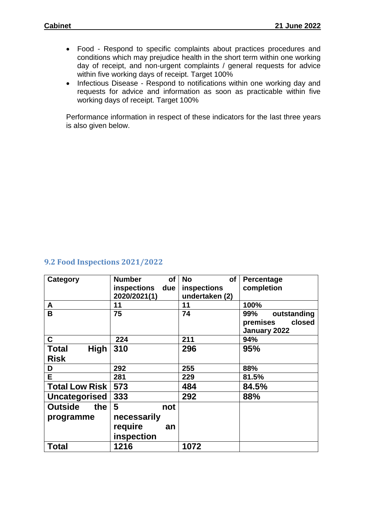- Food Respond to specific complaints about practices procedures and conditions which may prejudice health in the short term within one working day of receipt, and non-urgent complaints / general requests for advice within five working days of receipt. Target 100%
- Infectious Disease Respond to notifications within one working day and requests for advice and information as soon as practicable within five working days of receipt. Target 100%

Performance information in respect of these indicators for the last three years is also given below.

#### **9.2 Food Inspections 2021/2022**

| Category                                   | <b>Number</b><br>of<br>inspections<br>due<br>2020/2021(1) | <b>No</b><br>of<br>inspections<br>undertaken (2) | Percentage<br>completion                                 |
|--------------------------------------------|-----------------------------------------------------------|--------------------------------------------------|----------------------------------------------------------|
| A                                          | 11                                                        | 11                                               | 100%                                                     |
| B                                          | 75                                                        | 74                                               | 99%<br>outstanding<br>closed<br>premises<br>January 2022 |
| C                                          | 224                                                       | 211                                              | 94%                                                      |
| <b>Total</b><br><b>High</b><br><b>Risk</b> | 310                                                       | 296                                              | 95%                                                      |
|                                            |                                                           |                                                  |                                                          |
| D                                          | 292                                                       | 255                                              | 88%                                                      |
| E.                                         | 281                                                       | 229                                              | 81.5%                                                    |
| <b>Total Low Risk</b>                      | 573                                                       | 484                                              | 84.5%                                                    |
| Uncategorised                              | 333                                                       | 292                                              | 88%                                                      |
| <b>Outside</b><br>the                      | 5<br>not                                                  |                                                  |                                                          |
| programme                                  | necessarily                                               |                                                  |                                                          |
|                                            | require<br>an                                             |                                                  |                                                          |
|                                            | inspection                                                |                                                  |                                                          |
| <b>Total</b>                               | 1216                                                      | 1072                                             |                                                          |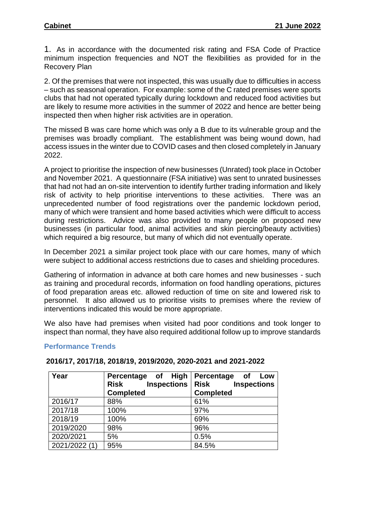1. As in accordance with the documented risk rating and FSA Code of Practice minimum inspection frequencies and NOT the flexibilities as provided for in the Recovery Plan

2. Of the premises that were not inspected, this was usually due to difficulties in access – such as seasonal operation. For example: some of the C rated premises were sports clubs that had not operated typically during lockdown and reduced food activities but are likely to resume more activities in the summer of 2022 and hence are better being inspected then when higher risk activities are in operation.

The missed B was care home which was only a B due to its vulnerable group and the premises was broadly compliant. The establishment was being wound down, had access issues in the winter due to COVID cases and then closed completely in January 2022.

A project to prioritise the inspection of new businesses (Unrated) took place in October and November 2021. A questionnaire (FSA initiative) was sent to unrated businesses that had not had an on-site intervention to identify further trading information and likely risk of activity to help prioritise interventions to these activities. There was an unprecedented number of food registrations over the pandemic lockdown period, many of which were transient and home based activities which were difficult to access during restrictions. Advice was also provided to many people on proposed new businesses (in particular food, animal activities and skin piercing/beauty activities) which required a big resource, but many of which did not eventually operate.

In December 2021 a similar project took place with our care homes, many of which were subject to additional access restrictions due to cases and shielding procedures.

Gathering of information in advance at both care homes and new businesses - such as training and procedural records, information on food handling operations, pictures of food preparation areas etc. allowed reduction of time on site and lowered risk to personnel. It also allowed us to prioritise visits to premises where the review of interventions indicated this would be more appropriate.

We also have had premises when visited had poor conditions and took longer to inspect than normal, they have also required additional follow up to improve standards

#### **Performance Trends**

| Year          | High<br>Percentage<br>of<br><b>Inspections</b><br><b>Risk</b> | Percentage<br>of<br>Low<br><b>Risk</b><br><b>Inspections</b> |
|---------------|---------------------------------------------------------------|--------------------------------------------------------------|
|               | <b>Completed</b>                                              | <b>Completed</b>                                             |
| 2016/17       | 88%                                                           | 61%                                                          |
| 2017/18       | 100%                                                          | 97%                                                          |
| 2018/19       | 100%                                                          | 69%                                                          |
| 2019/2020     | 98%                                                           | 96%                                                          |
| 2020/2021     | 5%                                                            | 0.5%                                                         |
| 2021/2022 (1) | 95%                                                           | 84.5%                                                        |

#### **2016/17, 2017/18, 2018/19, 2019/2020, 2020-2021 and 2021-2022**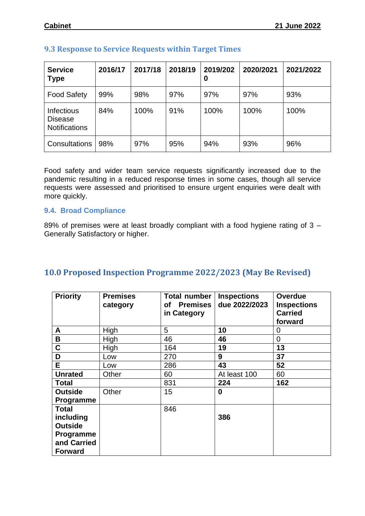| <b>Service</b><br><b>Type</b>                               | 2016/17 | 2017/18 | 2018/19 | 2019/202<br>0 | 2020/2021 | 2021/2022 |
|-------------------------------------------------------------|---------|---------|---------|---------------|-----------|-----------|
| <b>Food Safety</b>                                          | 99%     | 98%     | 97%     | 97%           | 97%       | 93%       |
| <b>Infectious</b><br><b>Disease</b><br><b>Notifications</b> | 84%     | 100%    | 91%     | 100%          | 100%      | 100%      |
| Consultations                                               | 98%     | 97%     | 95%     | 94%           | 93%       | 96%       |

# **9.3 Response to Service Requests within Target Times**

Food safety and wider team service requests significantly increased due to the pandemic resulting in a reduced response times in some cases, though all service requests were assessed and prioritised to ensure urgent enquiries were dealt with more quickly.

#### **9.4. Broad Compliance**

89% of premises were at least broadly compliant with a food hygiene rating of 3 – Generally Satisfactory or higher.

| <b>Priority</b>                                                                           | <b>Premises</b><br>category | <b>Total number</b><br>of Premises<br>in Category | <b>Inspections</b><br>due 2022/2023 | <b>Overdue</b><br><b>Inspections</b><br><b>Carried</b><br>forward |
|-------------------------------------------------------------------------------------------|-----------------------------|---------------------------------------------------|-------------------------------------|-------------------------------------------------------------------|
| A                                                                                         | High                        | 5                                                 | 10                                  | 0                                                                 |
| В                                                                                         | High                        | 46                                                | 46                                  | $\overline{0}$                                                    |
| C                                                                                         | High                        | 164                                               | 19                                  | 13                                                                |
| D                                                                                         | Low                         | 270                                               | 9                                   | 37                                                                |
| E.                                                                                        | Low                         | 286                                               | 43                                  | 52                                                                |
| <b>Unrated</b>                                                                            | Other                       | 60                                                | At least 100                        | 60                                                                |
| <b>Total</b>                                                                              |                             | 831                                               | 224                                 | 162                                                               |
| <b>Outside</b><br><b>Programme</b>                                                        | Other                       | 15                                                | 0                                   |                                                                   |
| <b>Total</b><br>including<br><b>Outside</b><br>Programme<br>and Carried<br><b>Forward</b> |                             | 846                                               | 386                                 |                                                                   |

# **10.0 Proposed Inspection Programme 2022/2023 (May Be Revised)**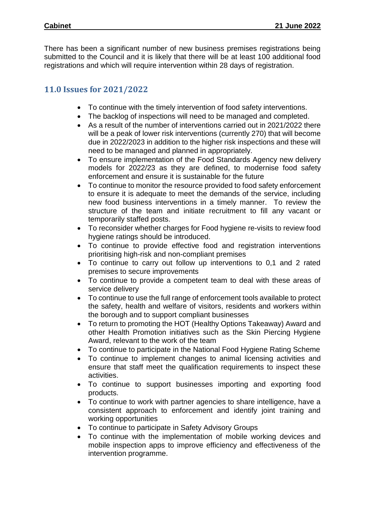There has been a significant number of new business premises registrations being submitted to the Council and it is likely that there will be at least 100 additional food registrations and which will require intervention within 28 days of registration.

# **11.0 Issues for 2021/2022**

- To continue with the timely intervention of food safety interventions.
- The backlog of inspections will need to be managed and completed.
- As a result of the number of interventions carried out in 2021/2022 there will be a peak of lower risk interventions (currently 270) that will become due in 2022/2023 in addition to the higher risk inspections and these will need to be managed and planned in appropriately.
- To ensure implementation of the Food Standards Agency new delivery models for 2022/23 as they are defined, to modernise food safety enforcement and ensure it is sustainable for the future
- To continue to monitor the resource provided to food safety enforcement to ensure it is adequate to meet the demands of the service, including new food business interventions in a timely manner. To review the structure of the team and initiate recruitment to fill any vacant or temporarily staffed posts.
- To reconsider whether charges for Food hygiene re-visits to review food hygiene ratings should be introduced.
- To continue to provide effective food and registration interventions prioritising high-risk and non-compliant premises
- To continue to carry out follow up interventions to 0,1 and 2 rated premises to secure improvements
- To continue to provide a competent team to deal with these areas of service delivery
- To continue to use the full range of enforcement tools available to protect the safety, health and welfare of visitors, residents and workers within the borough and to support compliant businesses
- To return to promoting the HOT (Healthy Options Takeaway) Award and other Health Promotion initiatives such as the Skin Piercing Hygiene Award, relevant to the work of the team
- To continue to participate in the National Food Hygiene Rating Scheme
- To continue to implement changes to animal licensing activities and ensure that staff meet the qualification requirements to inspect these activities.
- To continue to support businesses importing and exporting food products.
- To continue to work with partner agencies to share intelligence, have a consistent approach to enforcement and identify joint training and working opportunities
- To continue to participate in Safety Advisory Groups
- To continue with the implementation of mobile working devices and mobile inspection apps to improve efficiency and effectiveness of the intervention programme.